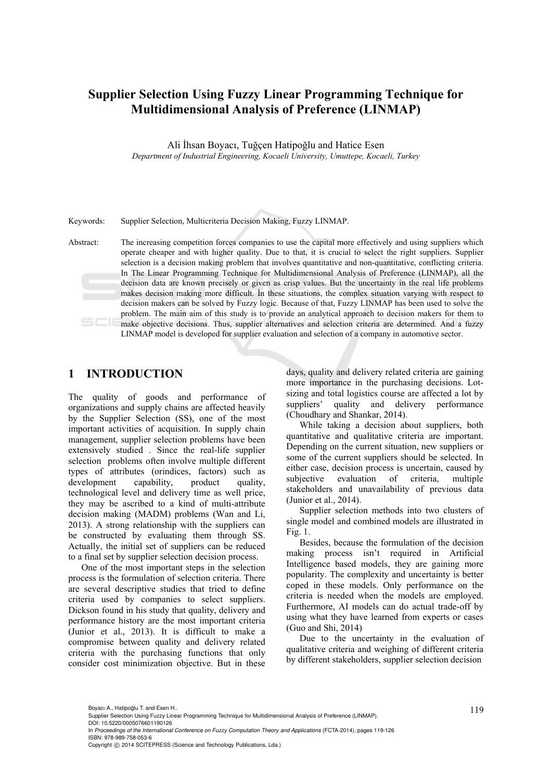# **Supplier Selection Using Fuzzy Linear Programming Technique for Multidimensional Analysis of Preference (LINMAP)**

Ali İhsan Boyacı, Tuğçen Hatipoğlu and Hatice Esen *Department of Industrial Engineering, Kocaeli University, Umuttepe, Kocaeli, Turkey* 

Keywords: Supplier Selection, Multicriteria Decision Making, Fuzzy LINMAP.

Abstract: The increasing competition forces companies to use the capital more effectively and using suppliers which operate cheaper and with higher quality. Due to that, it is crucial to select the right suppliers. Supplier selection is a decision making problem that involves quantitative and non-quantitative, conflicting criteria. In The Linear Programming Technique for Multidimensional Analysis of Preference (LINMAP), all the decision data are known precisely or given as crisp values. But the uncertainty in the real life problems makes decision making more difficult. İn these situations, the complex situation varying with respect to decision makers can be solved by Fuzzy logic. Because of that, Fuzzy LINMAP has been used to solve the problem. The main aim of this study is to provide an analytical approach to decision makers for them to make objective decisions. Thus, supplier alternatives and selection criteria are determined. And a fuzzy LINMAP model is developed for supplier evaluation and selection of a company in automotive sector.

### **1 INTRODUCTION**

The quality of goods and performance of organizations and supply chains are affected heavily by the Supplier Selection (SS), one of the most important activities of acquisition. In supply chain management, supplier selection problems have been extensively studied . Since the real-life supplier selection problems often involve multiple different types of attributes (orindices, factors) such as<br>development capability, product quality. development capability, product quality, technological level and delivery time as well price, they may be ascribed to a kind of multi-attribute decision making (MADM) problems (Wan and Li, 2013). A strong relationship with the suppliers can be constructed by evaluating them through SS. Actually, the initial set of suppliers can be reduced to a final set by supplier selection decision process.

One of the most important steps in the selection process is the formulation of selection criteria. There are several descriptive studies that tried to define criteria used by companies to select suppliers. Dickson found in his study that quality, delivery and performance history are the most important criteria (Junior et al., 2013). It is difficult to make a compromise between quality and delivery related criteria with the purchasing functions that only consider cost minimization objective. But in these

days, quality and delivery related criteria are gaining more importance in the purchasing decisions. Lotsizing and total logistics course are affected a lot by suppliers' quality and delivery performance (Choudhary and Shankar, 2014).

While taking a decision about suppliers, both quantitative and qualitative criteria are important. Depending on the current situation, new suppliers or some of the current suppliers should be selected. In either case, decision process is uncertain, caused by subjective evaluation of criteria, multiple stakeholders and unavailability of previous data (Junior et al., 2014).

Supplier selection methods into two clusters of single model and combined models are illustrated in Fig. 1.

Besides, because the formulation of the decision making process isn't required in Artificial Intelligence based models, they are gaining more popularity. The complexity and uncertainty is better coped in these models. Only performance on the criteria is needed when the models are employed. Furthermore, AI models can do actual trade-off by using what they have learned from experts or cases (Guo and Shi, 2014)

Due to the uncertainty in the evaluation of qualitative criteria and weighing of different criteria by different stakeholders, supplier selection decision

<sup>119</sup> Boyacı A., Hatipoglu T. and Esen H.. ˘ Supplier Selection Using Fuzzy Linear Programming Technique for Multidimensional Analysis of Preference (LINMAP). DOI: 10.5220/0005076601190126

In *Proceedings of the International Conference on Fuzzy Computation Theory and Applications* (FCTA-2014), pages 119-126 ISBN: 978-989-758-053-6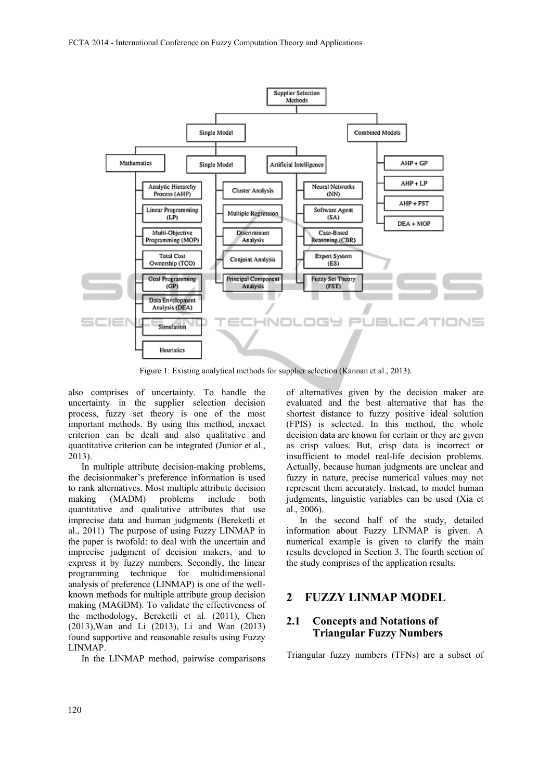

Figure 1: Existing analytical methods for supplier selection (Kannan et al., 2013).

also comprises of uncertainty. To handle the uncertainty in the supplier selection decision process, fuzzy set theory is one of the most important methods. By using this method, inexact criterion can be dealt and also qualitative and quantitative criterion can be integrated (Junior et al., 2013).

In multiple attribute decision-making problems, the decisionmaker's preference information is used to rank alternatives. Most multiple attribute decision making (MADM) problems include both quantitative and qualitative attributes that use imprecise data and human judgments (Bereketli et al., 2011) The purpose of using Fuzzy LINMAP in the paper is twofold: to deal with the uncertain and imprecise judgment of decision makers, and to express it by fuzzy numbers. Secondly, the linear programming technique for multidimensional analysis of preference (LINMAP) is one of the wellknown methods for multiple attribute group decision making (MAGDM). To validate the effectiveness of the methodology, Bereketli et al. (2011), Chen (2013),Wan and Li (2013), Li and Wan (2013) found supportive and reasonable results using Fuzzy LINMAP.

In the LINMAP method, pairwise comparisons

of alternatives given by the decision maker are evaluated and the best alternative that has the shortest distance to fuzzy positive ideal solution (FPIS) is selected. In this method, the whole decision data are known for certain or they are given as crisp values. But, crisp data is incorrect or insufficient to model real-life decision problems. Actually, because human judgments are unclear and fuzzy in nature, precise numerical values may not represent them accurately. Instead, to model human judgments, linguistic variables can be used (Xia et al., 2006).

In the second half of the study, detailed information about Fuzzy LINMAP is given. A numerical example is given to clarify the main results developed in Section 3. The fourth section of the study comprises of the application results.

### **2 FUZZY LINMAP MODEL**

### **2.1 Concepts and Notations of Triangular Fuzzy Numbers**

Triangular fuzzy numbers (TFNs) are a subset of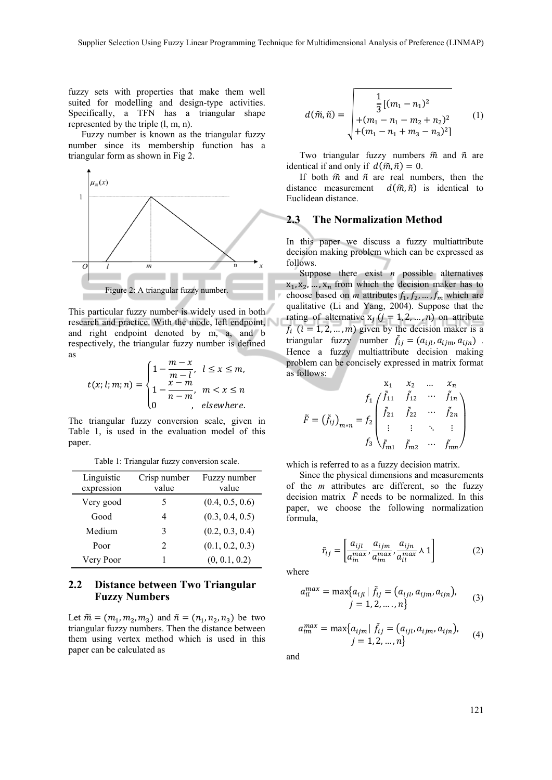fuzzy sets with properties that make them well suited for modelling and design-type activities. Specifically, a TFN has a triangular shape represented by the triple (l, m, n).

Fuzzy number is known as the triangular fuzzy number since its membership function has a triangular form as shown in Fig 2.



This particular fuzzy number is widely used in both research and practice. With the mode, left endpoint, and right endpoint denoted by m, a, and b respectively, the triangular fuzzy number is defined as

$$
t(x; l; m; n) = \begin{cases} 1 - \frac{m - x}{m - l}, & l \leq x \leq m, \\ 1 - \frac{x - m}{n - m}, & m < x \leq n \\ 0 & , \text{ elsewhere.} \end{cases}
$$

The triangular fuzzy conversion scale, given in Table 1, is used in the evaluation model of this paper.

| Linguistic<br>expression | Crisp number<br>value | Fuzzy number<br>value |
|--------------------------|-----------------------|-----------------------|
| Very good                | 5                     | (0.4, 0.5, 0.6)       |
| Good                     | 4                     | (0.3, 0.4, 0.5)       |
| Medium                   | 3                     | (0.2, 0.3, 0.4)       |
| Poor                     | 2                     | (0.1, 0.2, 0.3)       |
| Very Poor                |                       | (0, 0.1, 0.2)         |

Table 1: Triangular fuzzy conversion scale.

#### **2.2 Distance between Two Triangular Fuzzy Numbers**

Let  $\widetilde{m} = (m_1, m_2, m_3)$  and  $\widetilde{n} = (n_1, n_2, n_3)$  be two triangular fuzzy numbers. Then the distance between them using vertex method which is used in this paper can be calculated as

$$
d(\tilde{m}, \tilde{n}) = \begin{bmatrix} \frac{1}{3}[(m_1 - n_1)^2 \\ + (m_1 - n_1 - m_2 + n_2)^2 \\ + (m_1 - n_1 + m_3 - n_3)^2 \end{bmatrix}
$$
 (1)

Two triangular fuzzy numbers  $\tilde{m}$  and  $\tilde{n}$  are identical if and only if  $d(\tilde{m}, \tilde{n}) = 0$ .

If both  $\tilde{m}$  and  $\tilde{n}$  are real numbers, then the distance measurement  $d(\tilde{m}, \tilde{n})$  is identical to Euclidean distance.

#### **2.3 The Normalization Method**

In this paper we discuss a fuzzy multiattribute decision making problem which can be expressed as follows.

Suppose there exist *n* possible alternatives  $x_1, x_2, \ldots, x_n$  from which the decision maker has to choose based on *m* attributes  $f_1, f_2, ..., f_m$  which are qualitative (Li and Yang, 2004). Suppose that the rating of alternative  $x_j$  ( $j = 1, 2, ..., n$ ) on attribute  $f_i$  ( $i = 1, 2, ..., m$ ) given by the decision maker is a triangular fuzzy number  $\tilde{f}_{ij} = (a_{ijl}, a_{ijm}, a_{ijn})$ . Hence a fuzzy multiattribute decision making problem can be concisely expressed in matrix format as follows:

$$
\tilde{F} = (\tilde{f}_{ij})_{m*n} = f_2 \begin{pmatrix} x_1 & x_2 & \dots & x_n \\ \tilde{f}_{11} & \tilde{f}_{12} & \cdots & \tilde{f}_{1n} \\ \tilde{f}_{21} & \tilde{f}_{22} & \cdots & \tilde{f}_{2n} \\ \vdots & \vdots & \ddots & \vdots \\ f_3 & \tilde{f}_{m1} & \tilde{f}_{m2} & \cdots & \tilde{f}_{mn} \end{pmatrix}
$$

which is referred to as a fuzzy decision matrix.

Since the physical dimensions and measurements of the *m* attributes are different, so the fuzzy decision matrix  $\tilde{F}$  needs to be normalized. In this paper, we choose the following normalization formula,

$$
\tilde{r}_{ij} = \left[ \frac{a_{ijl}}{a_{in}^{max}} , \frac{a_{ijm}}{a_{im}^{max}} , \frac{a_{ijn}}{a_{il}^{max}} \wedge 1 \right] \tag{2}
$$

where

$$
a_{il}^{max} = \max\{a_{ijl} | \tilde{f}_{ij} = (a_{ijl}, a_{ijm}, a_{ijn}),
$$
  

$$
j = 1, 2, ..., n\}
$$
 (3)

$$
a_{im}^{max} = \max\{a_{ijm} | \tilde{f}_{ij} = (a_{ijl}, a_{ijm}, a_{ijn}),
$$
  
 
$$
j = 1, 2, ..., n\}
$$
 (4)

and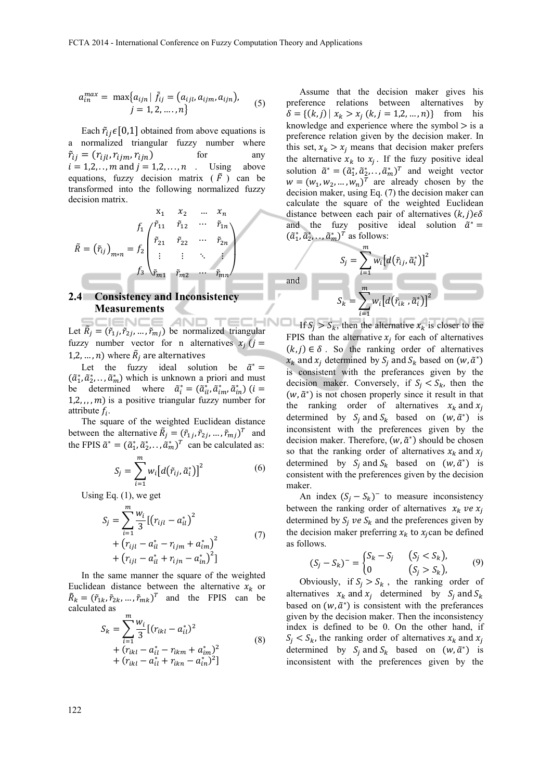$$
a_{in}^{max} = \max\{a_{ijn} | \tilde{f}_{ij} = (a_{ijl}, a_{ijm}, a_{ijn}),
$$
  
  $j = 1, 2, ..., n\}$  (5)

Each  $\tilde{r}_{ij} \in [0,1]$  obtained from above equations is a normalized triangular fuzzy number where  $\tilde{r}_{ij} = (r_{ijl}, r_{ijm}, r_{ijn})$  for any  $i = 1,2,\ldots, m$  and  $j = 1,2,\ldots, n$ . Using above equations, fuzzy decision matrix  $(\tilde{F})$  can be transformed into the following normalized fuzzy decision matrix.

$$
\tilde{R} = (\tilde{r}_{ij})_{m*n} = f_2 \begin{pmatrix} \tilde{r}_{11} & \tilde{r}_{12} & \cdots & \tilde{r}_{1n} \\ \tilde{r}_{21} & \tilde{r}_{22} & \cdots & \tilde{r}_{2n} \\ \vdots & \vdots & \ddots & \vdots \\ f_3 & \tilde{r}_{m1} & \tilde{r}_{m2} & \cdots & \tilde{r}_{mn} \end{pmatrix}
$$

# **2.4 Consistency and Inconsistency Measurements**

Let  $\tilde{R}_j = (\tilde{r}_{1j}, \tilde{r}_{2j}, \dots, \tilde{r}_{mj})$  be normalized triangular fuzzy number vector for n alternatives  $x_i$  ( $j =$ 1,2, ..., *n*) where  $\tilde{R}_j$  are alternatives

Let the fuzzy ideal solution be  $\tilde{a}^* =$  $(\tilde{a}_1^*, \tilde{a}_2^*, \ldots, \tilde{a}_m^*)$  which is unknown a priori and must be determined where  $\tilde{a}_i^* = (\tilde{a}_{il}^*, \tilde{a}_{im}^*, \tilde{a}_{in}^*)$  ( $i =$  $1, 2, \ldots, m$ ) is a positive triangular fuzzy number for attribute  $f_i$ .

The square of the weighted Euclidean distance between the alternative  $\tilde{R}_j = (\tilde{r}_{1j}, \tilde{r}_{2j}, ..., \tilde{r}_{mj})^T$  and the FPIS  $\tilde{a}^* = (\tilde{a}_1^*, \tilde{a}_2^*, \dots, \tilde{a}_m^*)^T$  can be calculated as:

$$
S_j = \sum_{i=1}^m w_i \big[d\big(\tilde{r}_{ij}, \tilde{a}_i^*\big)\big]^2 \tag{6}
$$

Using Eq. (1), we get

$$
S_{j} = \sum_{i=1}^{m} \frac{w_{i}}{3} \left[ \left( r_{ijl} - a_{il}^{*} \right)^{2} + \left( r_{ijl} - a_{il}^{*} - r_{ijm} + a_{im}^{*} \right)^{2} + \left( r_{ijl} - a_{il}^{*} + r_{ijm} - a_{in}^{*} \right)^{2} \right]
$$
\n(7)

In the same manner the square of the weighted Euclidean distance between the alternative  $x_k$  or  $\tilde{R}_k = (\tilde{r}_{1k}, \tilde{r}_{2k}, \dots, \tilde{r}_{mk})^T$  and the FPIS can be calculated as

$$
S_k = \sum_{i=1}^{m} \frac{w_i}{3} [(r_{ikl} - a_{il}^*)^2
$$
  
+  $(r_{ikl} - a_{il}^* - r_{ikm} + a_{im}^*)^2$   
+  $(r_{ikl} - a_{il}^* + r_{ikn} - a_{in}^*)^2]$  (8)

Assume that the decision maker gives his preference relations between alternatives by  $\delta = \{(k, j) | x_k > x_j (k, j = 1, 2, ..., n)\}$  from his knowledge and experience where the symbol  $>$  is a preference relation given by the decision maker. In this set,  $x_k > x_j$  means that decision maker prefers the alternative  $x_k$  to  $x_j$ . If the fuzy positive ideal solution  $\tilde{a}^* = (\tilde{a}_1^*, \tilde{a}_2^*, \dots, \tilde{a}_m^*)^T$  and weight vector  $w = (w_1, w_2, ..., w_n)^T$  are already chosen by the decision maker, using Eq. (7) the decision maker can calculate the square of the weighted Euclidean distance between each pair of alternatives  $(k, j) \in \delta$ and the fuzy positive ideal solution  $\tilde{a}^* =$  $(\tilde{a}_1^*, \tilde{a}_2^*, \dots, \tilde{a}_m^*)^T$  as follows:

and  

$$
S_j = \sum_{i=1}^m w_i [d(\tilde{r}_{ij}, \tilde{\alpha}_i^*)]^2
$$

$$
S_k = \sum_{i=1}^m w_i [d(\tilde{r}_{ik}, \tilde{\alpha}_i^*)]^2
$$

If  $S_i > S_k$ , then the alternative  $x_k$  is closer to the FPIS than the alternative  $x_i$  for each of alternatives  $(k, j) \in \delta$ . So the ranking order of alternatives  $x_k$  and  $x_i$  determined by  $S_i$  and  $S_k$  based on  $(w, \tilde{a}^*)$ is consistent with the preferances given by the decision maker. Conversely, if  $S_i < S_k$ , then the  $(w, \tilde{a}^*)$  is not chosen properly since it result in that the ranking order of alternatives  $x_k$  and  $x_j$ determined by  $S_i$  and  $S_k$  based on  $(w, \tilde{a}^*)$  is inconsistent with the preferences given by the decision maker. Therefore,  $(w, \tilde{a}^*)$  should be chosen so that the ranking order of alternatives  $x_k$  and  $x_i$ determined by  $S_i$  and  $S_k$  based on  $(w, \tilde{a}^*)$  is consistent with the preferences given by the decision maker.

An index  $(S_j - S_k)$ <sup>-</sup> to measure inconsistency between the ranking order of alternatives  $x_k$  ve  $x_i$ determined by  $S_i$  ve  $S_k$  and the preferences given by the decision maker preferring  $x_k$  to  $x_i$  can be defined as follows.

$$
(S_j - S_k)^{-} = \begin{cases} S_k - S_j & (S_j < S_k), \\ 0 & (S_j > S_k), \end{cases} \tag{9}
$$

Obviously, if  $S_i > S_k$ , the ranking order of alternatives  $x_k$  and  $x_i$  determined by  $S_i$  and  $S_k$ based on  $(w, \tilde{a}^*)$  is consistent with the preferances given by the decision maker. Then the inconsistency index is defined to be 0. On the other hand, if  $S_i < S_k$ , the ranking order of alternatives  $x_k$  and  $x_i$ determined by  $S_i$  and  $S_k$  based on  $(w, \tilde{a}^*)$  is inconsistent with the preferences given by the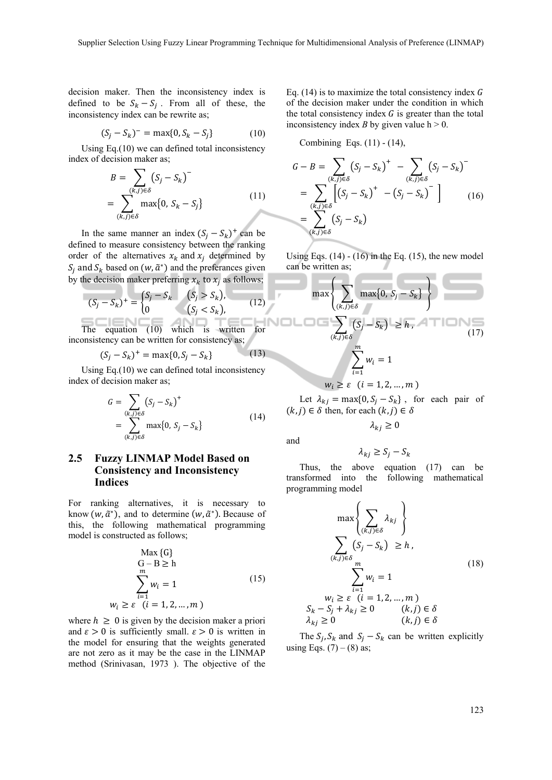decision maker. Then the inconsistency index is defined to be  $S_k - S_j$ . From all of these, the inconsistency index can be rewrite as;

$$
(S_j - S_k)^{-} = \max\{0, S_k - S_j\}
$$
 (10)

Using Eq.(10) we can defined total inconsistency index of decision maker as;

$$
B = \sum_{\substack{(k,j)\in\delta\\j\in\delta}} (S_j - S_k)^{-}
$$

$$
= \sum_{\substack{(k,j)\in\delta\\j\in\delta}} \max\{0, S_k - S_j\} \tag{11}
$$

In the same manner an index  $(S_j - S_k)^+$  can be defined to measure consistency between the ranking order of the alternatives  $x_k$  and  $x_i$  determined by  $S_i$  and  $S_k$  based on  $(w, \tilde{a}^*)$  and the preferances given by the decision maker preferring  $x_k$  to  $x_i$  as follows;

$$
(S_j - S_k)^{+} = \begin{cases} S_j - S_k & (S_j > S_k), \\ 0 & (S_j < S_k), \end{cases}
$$
 (12)

The equation (10) which is written for inconsistency can be written for consistency as;

$$
(S_j - S_k)^+ = \max\{0, S_j - S_k\} \tag{13}
$$

Using Eq.(10) we can defined total inconsistency index of decision maker as;

$$
G = \sum_{\substack{(k,j)\in\delta\\k,j\in\delta}} (S_j - S_k)^+
$$
  
= 
$$
\sum_{\substack{(k,j)\in\delta\\k,j\in\delta}} \max\{0, S_j - S_k\}
$$
 (14)

### **2.5 Fuzzy LINMAP Model Based on Consistency and Inconsistency Indices**

For ranking alternatives, it is necessary to know  $(w, \tilde{a}^*)$ , and to determine  $(w, \tilde{a}^*)$ . Because of this, the following mathematical programming model is constructed as follows;

$$
\begin{aligned}\n\text{Max } \{G\} \\
G - B &\ge h \\
\sum_{i=1}^{m} w_i = 1\n\end{aligned} \tag{15}
$$
\n
$$
w_i \ge \varepsilon \quad (i = 1, 2, ..., m)
$$

where  $h \geq 0$  is given by the decision maker a priori and  $\epsilon > 0$  is sufficiently small.  $\epsilon > 0$  is written in the model for ensuring that the weights generated are not zero as it may be the case in the LINMAP method (Srinivasan, 1973 ). The objective of the Eq. (14) is to maximize the total consistency index  $G$ of the decision maker under the condition in which the total consistency index  $G$  is greater than the total inconsistency index *B* by given value  $h > 0$ .

Combining Eqs. (11) - (14),

$$
G - B = \sum_{\substack{(k,j)\in\delta\\(k,j)\in\delta}} (S_j - S_k)^+ - \sum_{\substack{(k,j)\in\delta\\(k,j)\in\delta}} (S_j - S_k)^- = \sum_{\substack{(k,j)\in\delta\\(k,j)\in\delta}} (S_j - S_k)^- \Big] \qquad (16)
$$

Using Eqs.  $(14) - (16)$  in the Eq.  $(15)$ , the new model can be written as;

$$
\max\left\{\sum_{(k,j)\in\delta}\max\{0, S_j - S_k\}\right\}
$$
\n
$$
\sum_{(k,j)\in\delta}(S_j - S_k) \ge h,
$$
\n(17)\n
$$
\sum_{i=1}^m w_i = 1
$$

$$
w_i \geq \varepsilon \quad (i=1,2,\ldots,m)
$$

Let  $\lambda_{kj} = \max\{0, S_j - S_k\}$ , for each pair of  $(k, j) \in \delta$  then, for each  $(k, j) \in \delta$ 

 $\lambda_{kj} \geq 0$ 

$$
f_{\rm{max}}
$$

and

мd

$$
\lambda_{kj} \ge S_j - S_k
$$

Thus, the above equation (17) can be transformed into the following mathematical programming model

$$
\max\left\{\sum_{(k,j)\in\delta}\lambda_{kj}\right\}
$$
\n
$$
\sum_{(k,j)\in\delta} (S_j - S_k) \ge h,
$$
\n
$$
\sum_{i=1}^m w_i = 1
$$
\n
$$
S_k - S_j + \lambda_{kj} \ge 0 \qquad (k,j) \in \delta
$$
\n
$$
\lambda_{kj} \ge 0 \qquad (k,j) \in \delta
$$
\n(18)

The  $S_i$ ,  $S_k$  and  $S_i - S_k$  can be written explicitly using Eqs.  $(7) - (8)$  as;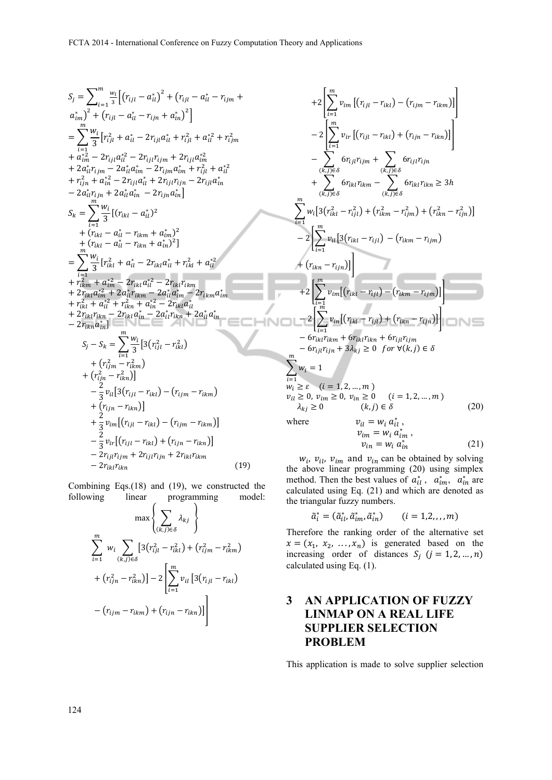$$
S_{j} = \sum_{i=1}^{m} \frac{w_{i}}{3} \left[ (r_{ijl} - a_{il}^{*})^{2} + (r_{ijl} - a_{il}^{*} - r_{ijm} + a_{im}^{*})^{2} \right]
$$
\n
$$
= \sum_{i=1}^{m} \frac{w_{i}}{3} \left[ r_{ijl}^{2} + a_{il}^{*} - 2r_{ijl}a_{il}^{*} + r_{ijl}^{2} + a_{il}^{*2} + r_{ijm}^{2} \right]
$$
\n
$$
= \sum_{i=1}^{m} \frac{w_{i}}{3} \left[ r_{ijl}^{2} + a_{il}^{*} - 2r_{ijl}a_{il}^{*} + r_{ijl}^{2} + a_{il}^{*2} + r_{ijm}^{2} \right]
$$
\n
$$
+ a_{im}^{*2} - 2r_{ijl}a_{il}^{*} - 2r_{ijl}r_{ijm} + 2r_{ijl}a_{im}^{*} + r_{ijl}^{2} + a_{il}^{*2} \right]
$$
\n
$$
+ r_{ijn}^{2} + a_{il}^{*2} - 2r_{ijl}a_{il}^{*} + 2r_{ijl}r_{ijn} - 2r_{ijl}a_{in}^{*} \right]
$$
\n
$$
- 2a_{il}^{*}r_{ijm} + 2a_{il}^{*}a_{il}^{*} - 2r_{ijm}a_{in}^{*} \right]
$$
\n
$$
S_{k} = \sum_{i=1}^{m} \frac{w_{i}}{3} \left[ (r_{ikl} - a_{il}^{*})^{2} + (r_{ikl} - a_{il}^{*})^{2} \right]
$$
\n
$$
+ (r_{ikl} - a_{il}^{*} - r_{ikm} + a_{im}^{*})^{2} \right]
$$
\n
$$
= \sum_{i=1}^{m} \frac{w_{i}}{3} \left[ r_{ikl}^{2} + a_{il}^{*} - 2r_{ikl}a_{il}^{*} + r_{ikl}^{2} + a_{il}^{*2} \right]
$$
\n
$$
+ r_{ikm}^{2} + a_{im}^{*2} - 2r_{ikl}a_{il}^{*} - 2r_{ikl}r_{ikm}
$$
\n
$$
+ 2r_{ikl}a
$$

Combining Eqs.(18) and (19), we constructed the following linear programming model:

$$
\max \left\{ \sum_{(k,j)\in\delta} \lambda_{kj} \right\}
$$

$$
\sum_{i=1}^{m} w_i \sum_{(k,j)\in\delta} [3(r_{ijl}^2 - r_{ikl}^2) + (r_{ijm}^2 - r_{ikm}^2) + (r_{ijn}^2 - r_{ikm}^2)] - 2 \left[ \sum_{i=1}^{m} v_{il} [3(r_{ijl} - r_{ikl}) - (r_{ijm} - r_{ikm}) + (r_{ijn} - r_{ikm})] \right]
$$

$$
+2\left[\sum_{i=1}^{m} v_{im} \left[ (r_{ijl} - r_{ikl}) - (r_{ijm} - r_{ikm}) \right] \right] -2\left[\sum_{i=1}^{m} v_{ir} \left[ (r_{ijl} - r_{ikl}) + (r_{ijn} - r_{ikm}) \right] \right] - \sum_{(k,j)\in\delta} \left[ 6r_{ijl}r_{ijm} + \sum_{(k,j)\in\delta} 6r_{ijl}r_{ijn} + \sum_{(k,j)\in\delta} 6r_{ikl}r_{ikm} - \sum_{(k,j)\in\delta} 6r_{ikl}r_{ikm} \ge 3h \right] \sum_{i=1}^{m} w_{i} \left[ 3(r_{ikl}^{2} - r_{ijl}^{2}) + (r_{ikm}^{2} - r_{ijm}^{2}) + (r_{ikm}^{2} - r_{ijm}^{2}) \right] -2\left[\sum_{i=1}^{m} v_{il} \left[ 3(r_{ikl} - r_{ijl}) - (r_{ikm} - r_{ijm}) \right] \right] +2\left[\sum_{i=1}^{m} v_{im} \left[ (r_{ikl} - r_{ijl}) - (r_{ikm} - r_{ijm}) \right] \right] -2\left[\sum_{i=1}^{m} v_{im} \left[ (r_{ikl} - r_{ijl}) + (r_{ikm} - r_{ijm}) \right] \right] -6r_{ikl}r_{ikm} + 6r_{ikl}r_{ikn} + 6r_{ijl}r_{ijm} -6r_{ijl}r_{ijm} + 3\lambda_{kj} \ge 0 \text{ for } \forall (k, j) \in \delta
$$

$$
w_i \ge \varepsilon \quad (i = 1, 2, ..., m)
$$
  
\n
$$
v_{il} \ge 0, v_{im} \ge 0, v_{in} \ge 0 \quad (i = 1, 2, ..., m)
$$
  
\n
$$
\lambda_{kj} \ge 0 \quad (k, j) \in \delta
$$
 (20)

where  $v_{il} = w_i a_{il}^*$ ,

 $v_{im} = w_i \ddot{a}_{im}$ ,  $v_{in} = w_i a_{in}^*$  $(21)$ 

 $w_i$ ,  $v_{il}$ ,  $v_{im}$  and  $v_{in}$  can be obtained by solving the above linear programming (20) using simplex method. Then the best values of  $a_{il}^*$ ,  $a_{im}^*$ ,  $a_{in}^*$  are calculated using Eq. (21) and which are denoted as the triangular fuzzy numbers.

$$
\tilde{a}_i^* = (\tilde{a}_{il}^*, \tilde{a}_{im}^*, \tilde{a}_{in}^*) \qquad (i = 1, 2, \ldots, m)
$$

Therefore the ranking order of the alternative set  $x = (x_1, x_2, ..., x_n)$  is generated based on the increasing order of distances  $S_i$  ( $j = 1, 2, ..., n$ ) calculated using Eq. (1).

## **3 AN APPLICATION OF FUZZY LINMAP ON A REAL LIFE SUPPLIER SELECTION PROBLEM**

This application is made to solve supplier selection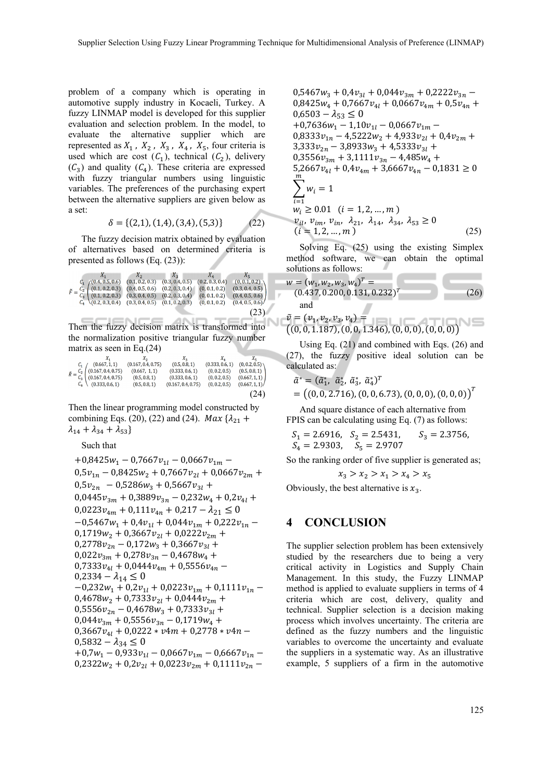problem of a company which is operating in automotive supply industry in Kocaeli, Turkey. A fuzzy LINMAP model is developed for this supplier evaluation and selection problem. In the model, to evaluate the alternative supplier which are represented as  $X_1$ ,  $X_2$ ,  $X_3$ ,  $X_4$ ,  $X_5$ , four criteria is used which are cost  $(C_1)$ , technical  $(C_2)$ , delivery  $(C_3)$  and quality  $(C_4)$ . These criteria are expressed with fuzzy triangular numbers using linguistic variables. The preferences of the purchasing expert between the alternative suppliers are given below as a set:

$$
\delta = \{ (2,1), (1,4), (3,4), (5,3) \} \tag{22}
$$

The fuzzy decision matrix obtained by evaluation of alternatives based on determined criteria is presented as follows (Eq. (23)):

|                                                                     | $-X_2$                              | $X_3$ =         | $X_4$           | $X_{\overline{z}}$ |
|---------------------------------------------------------------------|-------------------------------------|-----------------|-----------------|--------------------|
| $C_1$ (0.4, 0.5, 0.6)                                               | (0.1, 0.2, 0.3)                     | (0.3, 0.4, 0.5) | (0.2, 0.3, 0.4) | (0, 0.1, 0.2)      |
| $\tilde{F} = \frac{C_2}{C_1}$ (0.1, 0.2, 0.3)                       | $(0.4, 0.5, 0.6)$ $(0.2, 0.3, 0.4)$ |                 | (0, 0.1, 0.2)   | (0.3, 0.4, 0.5)    |
| $C_3$ (0.1, 0.2, 0.3) (0.3, 0.4, 0.5) (0.2, 0.3, 0.4)               |                                     |                 | (0, 0.1, 0.2)   | (0.4, 0.5, 0.6)    |
| $C_4 \setminus (0.2, 0.3, 0.4)$ $(0.3, 0.4, 0.5)$ $(0.1, 0.2, 0.3)$ |                                     |                 | (0, 0.1, 0.2)   | (0.4, 0.5, 0.6)    |
|                                                                     |                                     |                 |                 | (23)               |

Then the fuzzy decision matrix is transformed into the normalization positive triangular fuzzy number matrix as seen in Eq.(24)

| $X_{1}$                                                                | $X_{2}$            | $X_2$              | $X_{A}$         | $X_{\rm S}$   |
|------------------------------------------------------------------------|--------------------|--------------------|-----------------|---------------|
| (0.667, 1, 1)                                                          | (0.167, 0.4, 0.75) | (0.5, 0.8, 1)      | (0.333, 0.6, 1) | (0, 0.2, 0.5) |
|                                                                        | (0.667, 1, 1)      | (0.333, 0.6, 1)    | (0, 0.2, 0.5)   | (0.5, 0.8, 1) |
| $\tilde{R} = \frac{C_2}{C_3}$ (0.167, 0.4, 0.75)<br>(0.167, 0.4, 0.75) | (0.5, 0.8, 1)      | (0.333, 0.6, 1)    | (0, 0.2, 0.5)   | (0.667, 1, 1) |
| $C_4$ (0.333, 0.6, 1)                                                  | (0.5, 0.8, 1)      | (0.167, 0.4, 0.75) | (0, 0.2, 0.5)   | (0.667, 1, 1) |
|                                                                        |                    |                    |                 | (24)          |

Then the linear programming model constructed by combining Eqs. (20), (22) and (24). *Max*  $\{\lambda_{21} +$  $\lambda_{14} + \lambda_{34} + \lambda_{53}$ 

Such that

+0,8425w<sub>1</sub> - 0,7667v<sub>11</sub> - 0,0667v<sub>1m</sub> -  
\n0,5v<sub>1n</sub> - 0,8425w<sub>2</sub> + 0,7667v<sub>2l</sub> + 0,0667v<sub>2m</sub> +  
\n0,5v<sub>2n</sub> - 0,5286w<sub>3</sub> + 0,5667v<sub>3l</sub> +  
\n0,0445v<sub>3m</sub> + 0,3889v<sub>3n</sub> - 0,232w<sub>4</sub> + 0,2v<sub>4l</sub> +  
\n0,0223v<sub>4m</sub> + 0,111v<sub>4n</sub> + 0,217 - 
$$
\lambda_{21} \le 0
$$
  
\n-0,5467w<sub>1</sub> + 0,4v<sub>1l</sub> + 0,044v<sub>1m</sub> + 0,222v<sub>1n</sub> -  
\n0,1719w<sub>2</sub> + 0,3667v<sub>2l</sub> + 0,0222v<sub>2m</sub> +  
\n0,2778v<sub>2n</sub> - 0,172w<sub>3</sub> + 0,3667v<sub>3l</sub> +  
\n0,022v<sub>3m</sub> + 0,278v<sub>3n</sub> - 0,4678w<sub>4</sub> +  
\n0,7333v<sub>4l</sub> + 0,0444v<sub>4m</sub> + 0,5556v<sub>4n</sub> -  
\n0,232w<sub>1</sub> + 0,2v<sub>1l</sub> + 0,0223v<sub>1m</sub> + 0,1111v<sub>1n</sub> -  
\n0,4678w<sub>2</sub> + 0,7333v<sub>2l</sub> + 0,0444v<sub>2m</sub> +  
\n0,5556v<sub>2n</sub> - 0,4678w<sub>3</sub> + 0,7333v<sub>3l</sub> +  
\n0,044v<sub>3m</sub> + 0,5556v

$$
0,5467w_3 + 0,4v_{3l} + 0,044v_{3m} + 0,2222v_{3n} - 0,8425w_4 + 0,7667v_{4l} + 0,0667v_{4m} + 0,5v_{4n} + 0,6503 - \lambda_{53} \le 0
$$
  
+0,7636w<sub>1</sub> - 1,10v<sub>1l</sub> - 0,0667v<sub>1m</sub> - 0,8333v<sub>1n</sub> - 4,5222w<sub>2</sub> + 4,933v<sub>2l</sub> + 0,4v<sub>2m</sub> + 3,333v<sub>2n</sub> - 3,8933w<sub>3</sub> + 4,5333v<sub>3l</sub> + 0,3556v<sub>3m</sub> + 3,1111v<sub>3n</sub> - 4,485w<sub>4</sub> + 5,2667v<sub>4l</sub> + 0,4v<sub>4m</sub> + 3,6667v<sub>4n</sub> - 0,1831 \ge 0  

$$
\sum_{i=1}^{m} w_i = 1
$$
  

$$
w_i \ge 0.01 \quad (i = 1, 2, ..., m)
$$
  

$$
v_{il}, v_{im}, v_{in}, \lambda_{21}, \lambda_{14}, \lambda_{34}, \lambda_{53} \ge 0
$$
  

$$
(i = 1, 2, ..., m)
$$
 (25)

Solving Eq. (25) using the existing Simplex method software, we can obtain the optimal solutions as follows:

$$
w = (w_1, w_2, w_3, w_4)^T =
$$
  
(0.437, 0.200, 0.131, 0.232)<sup>T</sup> and  

$$
\tilde{v} = (w_1, w_2, w_3, w_4)^T =
$$
 (26)

 $(v_1, v_2, v_3, v_4)$  =  $((0, 0, 1.187), (0, 0, 1.346), (0, 0, 0), (0, 0, 0))$ 

Using Eq. (21) and combined with Eqs. (26) and (27), the fuzzy positive ideal solution can be calculated as:

$$
\tilde{a}^* = (\tilde{a}_1^*, \tilde{a}_2^*, \tilde{a}_3^*, \tilde{a}_4^*)^T
$$
  
= ((0, 0, 2.716), (0, 0, 6.73), (0, 0, 0), (0, 0, 0))<sup>T</sup>

And square distance of each alternative from FPIS can be calculating using Eq. (7) as follows:

$$
S_1 = 2.6916
$$
,  $S_2 = 2.5431$ ,  $S_3 = 2.3756$ ,  
\n $S_4 = 2.9303$ ,  $S_5 = 2.9707$ 

So the ranking order of five supplier is generated as;

 $x_3 > x_2 > x_1 > x_4 > x_5$ 

Obviously, the best alternative is  $x_3$ .

### **4 CONCLUSION**

The supplier selection problem has been extensively studied by the researchers due to being a very critical activity in Logistics and Supply Chain Management. In this study, the Fuzzy LINMAP method is applied to evaluate suppliers in terms of 4 criteria which are cost, delivery, quality and technical. Supplier selection is a decision making process which involves uncertainty. The criteria are defined as the fuzzy numbers and the linguistic variables to overcome the uncertainty and evaluate the suppliers in a systematic way. As an illustrative example, 5 suppliers of a firm in the automotive